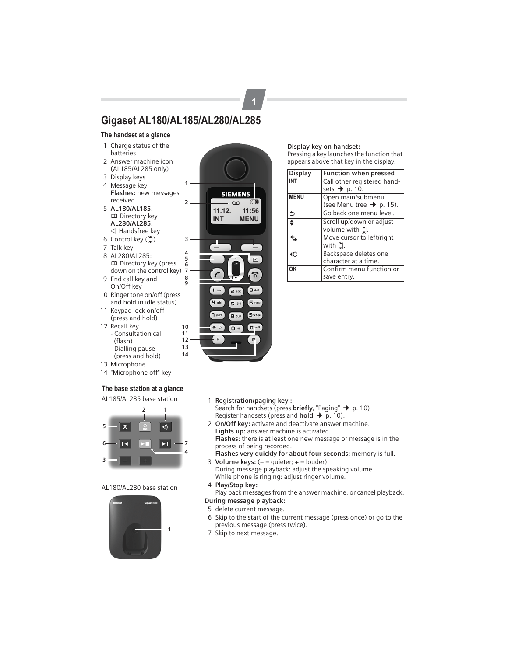## **Gigaset AL180/AL185/AL280/AL285**

#### **The handset at a glance**

- 1 Charge status of the batteries
- 2 Answer machine icon (AL185/AL285 only)
- 3 Display keys
- 4 Message key **Flashes:** new messages received
- 5 **AL180/AL185: m** Directory key **AL280/AL285:** d Handsfree key
- 6 Control key  $(\xi)$
- 7 Talk key
- 8 AL280/AL285: **m** Directory key (press down on the control key)
- 9 End call key and On/Off key
- 10 Ringer tone on/off (press and hold in idle status)
- 11 Keypad lock on/off (press and hold)
- 12 Recall key - Consultation call (flash)
	- Dialling pause (press and hold)
- 13 Microphone
- 14 "Microphone off" key

#### **The base station at a glance**

AL185/AL285 base station



#### AL180/AL280 base station





**1**

#### **Display key on handset:**

Pressing a key launches the function that appears above that key in the display.

| <b>Display</b>           | Function when pressed                                     |
|--------------------------|-----------------------------------------------------------|
| <b>INT</b>               | Call other registered hand-<br>sets $\rightarrow$ p. 10.  |
| <b>MENU</b>              | Open main/submenu<br>(see Menu tree $\rightarrow$ p. 15). |
| $\overline{\phantom{a}}$ | Go back one menu level.                                   |
| $\overline{\bullet}$     | Scroll up/down or adjust<br>volume with [*].              |
|                          | Move cursor to left/right<br>with $\hat{z}$ .             |
| ١C                       | Backspace deletes one<br>character at a time.             |
| OK                       | Confirm menu function or<br>save entry.                   |

- 1 **Registration/paging key :** Search for handsets (press **briefly**, "Paging" → p. 10) Register handsets (press and **hold**  $\rightarrow$  p. 10).
- 2 **On/Off key:** activate and deactivate answer machine. **Lights up:** answer machine is activated. **Flashes**: there is at least one new message or message is in the
- process of being recorded. **Flashes very quickly for about four seconds:** memory is full.
- 3 **Volume keys:** (**–** = quieter; **+** = louder) During message playback: adjust the speaking volume. While phone is ringing: adjust ringer volume.
- 4 **Play/Stop key:**

Play back messages from the answer machine, or cancel playback.

## **During message playback:**

- 5 delete current message.
- 6 Skip to the start of the current message (press once) or go to the previous message (press twice).
- 7 Skip to next message.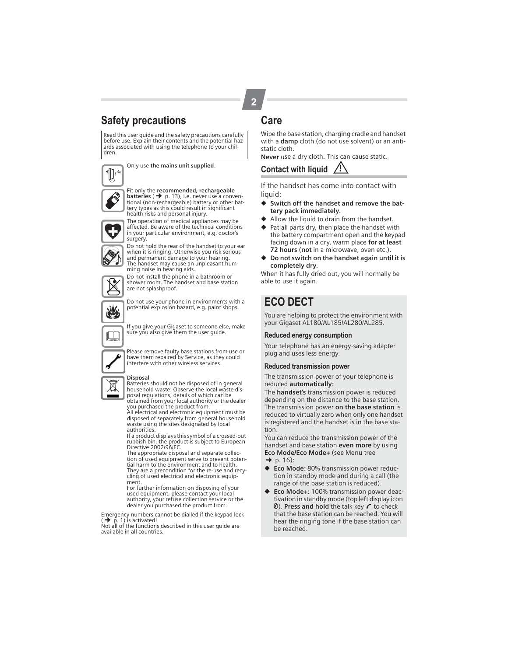## **Safety precautions**

Read this user guide and the safety precautions carefully before use. Explain their contents and the potential haz-ards associated with using the telephone to your children.

Only use **the mains unit supplied**.



Fit only the **recommended, rechargeable<br><b>batteries ( �** p. 13), i.e. never use a conven-<br>tional (non-rechargeable) battery or other bat-<br>tery types as this could result in significant health risks and personal injury.



The operation of medical appliances may be affected. Be aware of the technical conditions in your particular environment, e.g. doctor's surgery.

Do not hold the rear of the handset to your ear when it is ringing. Otherwise you risk serious and permanent damage to your hearing. The handset may cause an unpleasant humming noise in hearing aids.

Do not install the phone in a bathroom or shower room. The handset and base station are not splashproof.

Do not use your phone in environments with a

potential explosion hazard, e.g. paint shops.

If you give your Gigaset to someone else, make sure you also give them the user guide.



 $\Box$ 

Please remove faulty base stations from use or have them repaired by Service, as they could interfere with other wireless services.

#### **Disposal**

Batteries should not be disposed of in general household waste. Observe the local waste disposal regulations, details of which can be

obtained from your local authority or the dealer you purchased the product from. All electrical and electronic equipment must be disposed of separately from general household waste using the sites designated by local

authorities. If a product displays this symbol of a crossed-out rubbish bin, the product is subject to European Directive 2002/96/EC.

The appropriate disposal and separate collection of used equipment serve to prevent potential harm to the environment and to health. They are a precondition for the re-use and recycling of used electrical and electronic equipment.

For further information on disposing of your used equipment, please contact your local authority, your refuse collection service or the dealer you purchased the product from.

Emergency numbers cannot be dialled if the keypad lock  $(\rightarrow \vec{p}$ . 1) is activated!

Not all of the functions described in this user guide are available in all countries.

## **Care**

Wipe the base station, charging cradle and handset with a **damp** cloth (do not use solvent) or an antistatic cloth.

**Never** use a dry cloth. This can cause static.

## **Contact with liquid !**

If the handset has come into contact with liquid:

- ◆ **Switch off the handset and remove the battery pack immediately**.
- ◆ Allow the liquid to drain from the handset.
- ◆ Pat all parts dry, then place the handset with the battery compartment open and the keypad facing down in a dry, warm place **for at least 72 hours** (**not** in a microwave, oven etc.).
- ◆ **Do not switch on the handset again until it is completely dry.**

When it has fully dried out, you will normally be able to use it again.

## **ECO DECT**

You are helping to protect the environment with your Gigaset AL180/AL185/AL280/AL285.

#### **Reduced energy consumption**

Your telephone has an energy-saving adapter plug and uses less energy.

#### **Reduced transmission power**

The transmission power of your telephone is reduced **automatically**:

The **handset's** transmission power is reduced depending on the distance to the base station. The transmission power **on the base station** is reduced to virtually zero when only one handset is registered and the handset is in the base station.

You can reduce the transmission power of the handset and base station **even more** by using **Eco Mode/Eco Mode+** (see Menu tree  $\rightarrow$  p. 16):

- **Eco Mode:** 80% transmission power reduction in standby mode and during a call (the
- range of the base station is reduced). ◆ **Eco Mode+:** 100% transmission power deactivation in standby mode (top left display icon  $\emptyset$ ). **Press and hold** the talk key  $\curvearrowright$  to check that the base station can be reached. You will hear the ringing tone if the base station can be reached.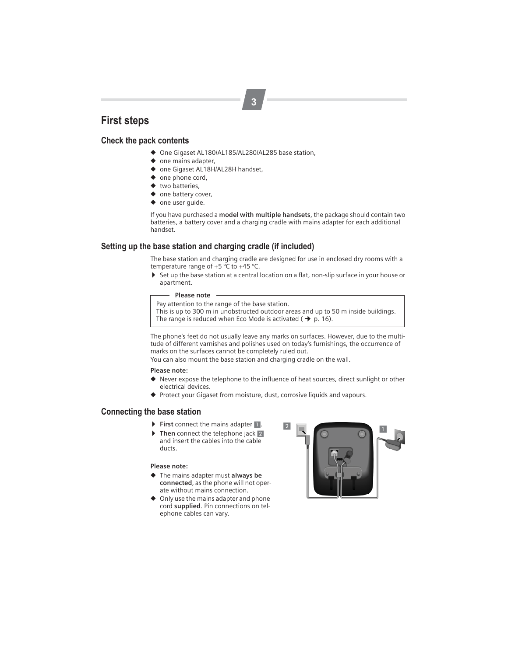## **First steps**

#### **Check the pack contents**

- ◆ One Gigaset AL180/AL185/AL280/AL285 base station,
- ◆ one mains adapter,
- ◆ one Gigaset AL18H/AL28H handset,
- ◆ one phone cord,
- ◆ two batteries,
- ◆ one battery cover,
- ◆ one user guide.

If you have purchased a **model with multiple handsets**, the package should contain two batteries, a battery cover and a charging cradle with mains adapter for each additional handset.

#### **Setting up the base station and charging cradle (if included)**

The base station and charging cradle are designed for use in enclosed dry rooms with a temperature range of +5 °C to +45 °C.

▶ Set up the base station at a central location on a flat, non-slip surface in your house or apartment.

#### **Please note**

Pay attention to the range of the base station. This is up to 300 m in unobstructed outdoor areas and up to 50 m inside buildings. The range is reduced when Eco Mode is activated ( $\rightarrow$  p. 16).

The phone's feet do not usually leave any marks on surfaces. However, due to the multitude of different varnishes and polishes used on today's furnishings, the occurrence of marks on the surfaces cannot be completely ruled out.

You can also mount the base station and charging cradle on the wall.

#### **Please note:**

- ◆ Never expose the telephone to the influence of heat sources, direct sunlight or other electrical devices.
- ◆ Protect your Gigaset from moisture, dust, corrosive liquids and vapours.

#### **Connecting the base station**

- **First** connect the mains adapter 1.
- **Then** connect the telephone jack 2 and insert the cables into the cable ducts.

#### **Please note:**

- ◆ The mains adapter must **always be connected**, as the phone will not operate without mains connection.
- ◆ Only use the mains adapter and phone cord **supplied**. Pin connections on telephone cables can vary.

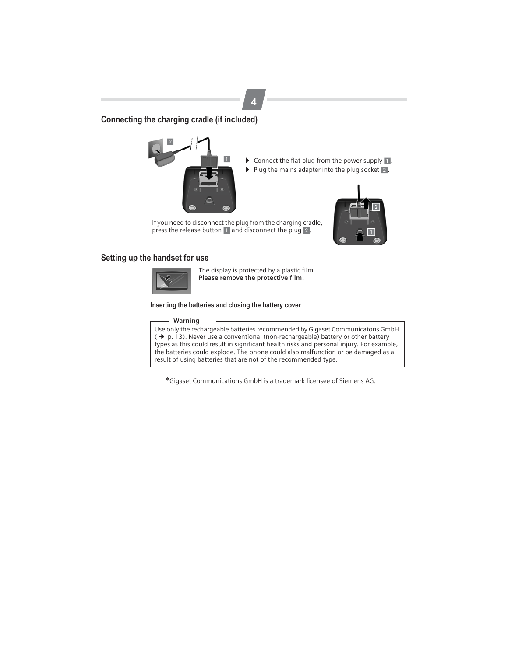### **Connecting the charging cradle (if included)**



- $\triangleright$  Connect the flat plug from the power supply  $\blacksquare$ .
- $\blacktriangleright$  Plug the mains adapter into the plug socket  $\boxed{2}$ .



If you need to disconnect the plug from the charging cradle, press the release button 1 and disconnect the plug 2.

#### **Setting up the handset for use**



The display is protected by a plastic film. **Please remove the protective film!**

#### **Inserting the batteries and closing the battery cover**

#### **Warning**

Use only the rechargeable batteries recommended by Gigaset Communicatons GmbH  $(\rightarrow$  p. 13). Never use a conventional (non-rechargeable) battery or other battery types as this could result in significant health risks and personal injury. For example, the batteries could explode. The phone could also malfunction or be damaged as a result of using batteries that are not of the recommended type.

\*Gigaset Communications GmbH is a trademark licensee of Siemens AG.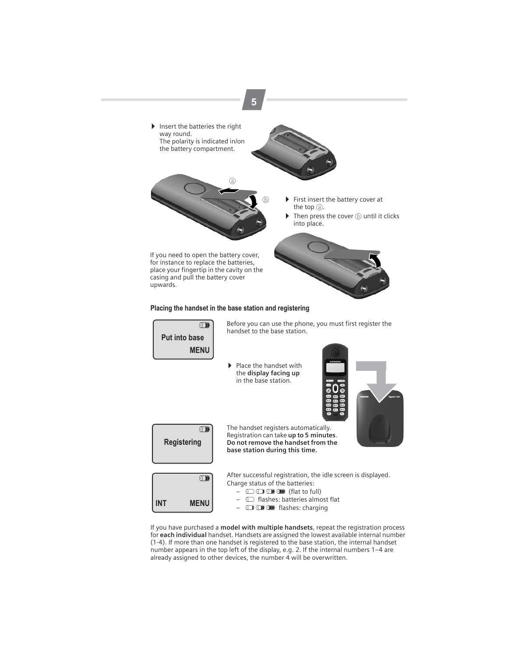

for **each individual** handset. Handsets are assigned the lowest available internal number (1-4). If more than one handset is registered to the base station, the internal handset number appears in the top left of the display, e.g. 2. If the internal numbers 1–4 are already assigned to other devices, the number 4 will be overwritten.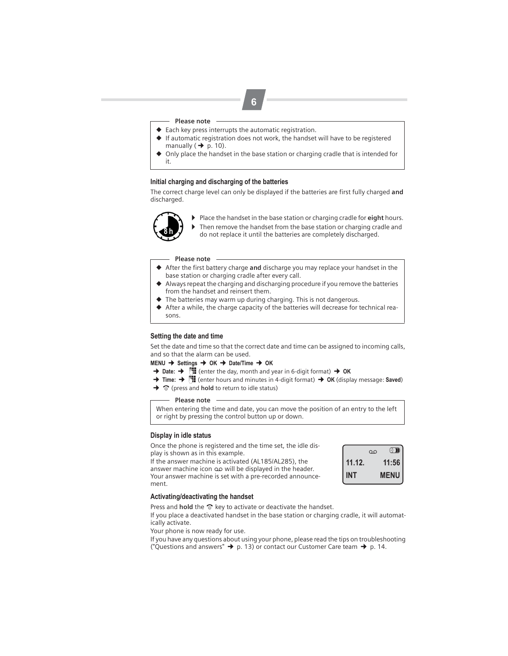#### **Please note**

◆ Each key press interrupts the automatic registration.

**6**

- ◆ If automatic registration does not work, the handset will have to be registered manually  $(\rightarrow p. 10)$ .
- Only place the handset in the base station or charging cradle that is intended for it.

#### **Initial charging and discharging of the batteries**

The correct charge level can only be displayed if the batteries are first fully charged **and** discharged.



▶ Place the handset in the base station or charging cradle for **eight** hours.<br>► Then remove the handset from the base station or charging cradle and Then remove the handset from the base station or charging cradle and do not replace it until the batteries are completely discharged. **8 h**

#### **Please note**

- ◆ After the first battery charge and discharge you may replace your handset in the base station or charging cradle after every call.
- ◆ Always repeat the charging and discharging procedure if you remove the batteries from the handset and reinsert them.
- $\blacktriangleright$  The batteries may warm up during charging. This is not dangerous.
- ◆ After a while, the charge capacity of the batteries will decrease for technical reasons.

#### **Setting the date and time**

Set the date and time so that the correct date and time can be assigned to incoming calls, and so that the alarm can be used.

**MENU** ¢ **Settings** ¢ **OK** ¢ **Date/Time** ¢ **OK**

- $\rightarrow$  Date:  $\rightarrow$  ₹**I** (enter the day, month and year in 6-digit format)  $\rightarrow$  OK
- $\rightarrow$  **Time:** →  $\bullet$  **T** (enter hours and minutes in 4-digit format)  $\rightarrow$  **OK** (display message: **Saved**)
- → To (press and **hold** to return to idle status)

**Please note**

When entering the time and date, you can move the position of an entry to the left or right by pressing the control button up or down.

#### **Display in idle status**

Once the phone is registered and the time set, the idle display is shown as in this example.

If the answer machine is activated (AL185/AL285), the answer machine icon مه will be displayed in the header. Your answer machine is set with a pre-recorded announcement.



#### **Activating/deactivating the handset**

Press and **hold** the  $\hat{\sigma}$  key to activate or deactivate the handset.

If you place a deactivated handset in the base station or charging cradle, it will automatically activate.

Your phone is now ready for use.

If you have any questions about using your phone, please read the tips on troubleshooting ("Questions and answers"  $\rightarrow$  p. 13) or contact our Customer Care team  $\rightarrow$  p. 14.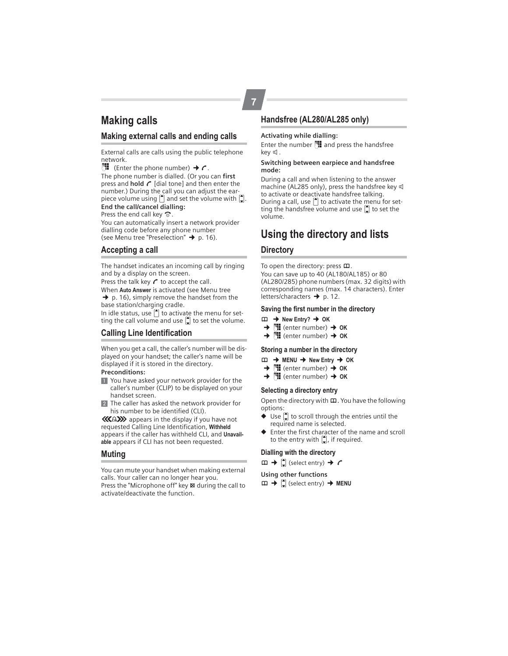## **Making calls**

#### **Making external calls and ending calls**

External calls are calls using the public telephone network.

 $\mathbb{H}$  (Enter the phone number)  $\rightarrow c$ . The phone number is dialled. (Or you can **first** press and **hold**  $\mathcal{L}$  [dial tone] and then enter the number.) During the call you can adjust the earpiece volume using  $\bigcap$  and set the volume with  $\bigcap$ . **End the call/cancel dialling:**

Press the end call key  $\widehat{\infty}$ .

You can automatically insert a network provider dialling code before any phone number (see Menu tree "Preselection"  $\rightarrow$  p. 16).

#### **Accepting a call**

The handset indicates an incoming call by ringing and by a display on the screen.

Press the talk key  $\curvearrowright$  to accept the call.

When **Auto Answer** is activated (see Menu tree  $\rightarrow$  p. 16), simply remove the handset from the base station/charging cradle.

In idle status, use  $\left( \bullet \right)$  to activate the menu for setting the call volume and use  $\left[\rule{0pt}{12pt}\right]$  to set the volume.

#### **Calling Line Identification**

When you get a call, the caller's number will be displayed on your handset; the caller's name will be displayed if it is stored in the directory.

#### **Preconditions:**

- 1 You have asked your network provider for the caller's number (CLIP) to be displayed on your handset screen.
- 2 The caller has asked the network provider for his number to be identified (CLI).

® appears in the display if you have not requested Calling Line Identification, **Withheld** appears if the caller has withheld CLI, and **Unavailable** appears if CLI has not been requested.

#### **Muting**

You can mute your handset when making external calls. Your caller can no longer hear you. Press the "Microphone off" key  $\boxtimes$  during the call to

#### **Handsfree (AL280/AL285 only)**

#### **Activating while dialling:**

Enter the number  $\mathbb{H}$  and press the handsfree key  $\mathbb$ .

#### **Switching between earpiece and handsfree mode:**

During a call and when listening to the answer machine (AL285 only), press the handsfree key d to activate or deactivate handsfree talking. During a call, use  $\Box$  to activate the menu for setting the handsfree volume and use  $\left[ \right]$  to set the volume.

## **Using the directory and lists**

#### **Directory**

To open the directory: press  $\mathbf{\Omega}$ . You can save up to 40 (AL180/AL185) or 80 (AL280/285) phone numbers (max. 32 digits) with corresponding names (max. 14 characters). Enter letters/characters  $\rightarrow$  p. 12.

#### **Saving the first number in the directory**

- $\Box$   $\rightarrow$  New Entry?  $\rightarrow$  OK  $\rightarrow$  MH (enter number)
- ¢<sup>~</sup> (enter number)¢ **OK**
- $→$  $^{\text{H}}$  (enter number)  $→$  OK

#### **Storing a number in the directory**

- $\Box$   $\rightarrow$  MENU  $\rightarrow$  New Entry  $\rightarrow$  OK
- $→$  **(H** (enter number)  $→$  OK
- $\rightarrow$  **[H**] (enter number)  $\rightarrow$  **OK**

#### **Selecting a directory entry**

Open the directory with  $\boldsymbol{\mathrm{m}}$ . You have the following options:

- $\blacklozenge$  Use  $\blacklozenge$  to scroll through the entries until the required name is selected.
- Enter the first character of the name and scroll to the entry with  $\left(\frac{1}{2}\right)$ , if required.

#### **Dialling with the directory**

 $\Box$   $\rightarrow$   $\Box$  (select entry)  $\rightarrow$   $\rightarrow$ 

#### **Using other functions**

 $m \rightarrow \left[\begin{matrix} 1 \\ 2 \end{matrix}\right]$  (select entry)  $\rightarrow$  **MENU** 

activate/deactivate the function.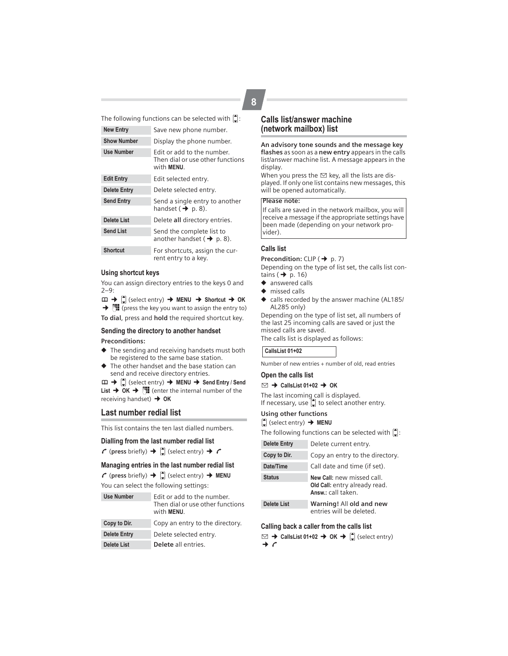The following functions can be selected with  $\left| \right\rangle$ :

| <b>New Entry</b>    | Save new phone number.                                                       |  |  |  |  |
|---------------------|------------------------------------------------------------------------------|--|--|--|--|
| <b>Show Number</b>  | Display the phone number.                                                    |  |  |  |  |
| <b>Use Number</b>   | Edit or add to the number.<br>Then dial or use other functions<br>with MENU. |  |  |  |  |
| <b>Edit Entry</b>   | Edit selected entry.                                                         |  |  |  |  |
| <b>Delete Entry</b> | Delete selected entry.                                                       |  |  |  |  |
| <b>Send Entry</b>   | Send a single entry to another<br>handset $(\rightarrow p. 8)$ .             |  |  |  |  |
| <b>Delete List</b>  | Delete all directory entries.                                                |  |  |  |  |
| <b>Send List</b>    | Send the complete list to<br>another handset ( $\rightarrow$ p. 8).          |  |  |  |  |
| <b>Shortcut</b>     | For shortcuts, assign the cur-<br>rent entry to a key.                       |  |  |  |  |

#### **Using shortcut keys**

You can assign directory entries to the keys 0 and 2–9:

 $m \rightarrow \left[\begin{matrix} \bullet \\ \bullet \end{matrix}\right]$  (select entry)  $\rightarrow$  **MENU**  $\rightarrow$  Shortcut  $\rightarrow$  OK  $\rightarrow$   $\mathbb{H}$  (press the key you want to assign the entry to)

**To dial**, press and **hold** the required shortcut key.

#### **Sending the directory to another handset**

#### **Preconditions:**

- ◆ The sending and receiving handsets must both be registered to the same base station.
- ◆ The other handset and the base station can send and receive directory entries.

 $\Box$   $\rightarrow$   $\begin{bmatrix} \bullet \\ \bullet \end{bmatrix}$  (select entry)  $\rightarrow$  **MENU**  $\rightarrow$  **Send Entry / Send List**  $\rightarrow$  **OK**  $\rightarrow$  **<sup>[\*</sup>] (enter the internal number of the** receiving handset)¢ **OK**

#### **Last number redial list**

This list contains the ten last dialled numbers.

#### **Dialling from the last number redial list**

 $\curvearrowleft$  (press briefly)  $\rightarrow$   $\left(\frac{1}{2}\right)$  (select entry)  $\rightarrow$   $\curvearrowleft$ 

#### **Managing entries in the last number redial list**

 $\curvearrowleft$  (press briefly)  $\rightarrow$   $\left[\right]$  (select entry)  $\rightarrow$  **MENU** You can select the following settings:

| <b>Use Number</b>   | Edit or add to the number.<br>Then dial or use other functions<br>with MENU. |
|---------------------|------------------------------------------------------------------------------|
| Copy to Dir.        | Copy an entry to the directory.                                              |
| <b>Delete Entry</b> | Delete selected entry.                                                       |
| <b>Delete List</b>  | Delete all entries.                                                          |

#### **Calls list/answer machine (network mailbox) list**

**An advisory tone sounds and the message key flashes** as soon as a **new entry** appears in the calls list/answer machine list. A message appears in the display.

When you press the  $\boxtimes$  key, all the lists are displayed. If only one list contains new messages, this will be opened automatically.

#### **Please note:**

If calls are saved in the network mailbox, you will receive a message if the appropriate settings have been made (depending on your network provider).

#### **Calls list**

**Precondition:** CLIP (  $\rightarrow$  p. 7) Depending on the type of list set, the calls list contains ( $\rightarrow$  p. 16)

- ◆ answered calls
- ◆ missed calls
- ◆ calls recorded by the answer machine (AL185/ AL285 only)

Depending on the type of list set, all numbers of the last 25 incoming calls are saved or just the missed calls are saved.

The calls list is displayed as follows:

#### **CallsList 01+02**

Number of new entries + number of old, read entries

#### **Open the calls list**

#### $\Box \rightarrow$  CallsList 01+02  $\rightarrow$  OK

The last incoming call is displayed.<br>If necessary, use ( ) to select another entry.

#### **Using other functions**

#### $\left[$  (select entry) **→ MENU**

The following functions can be selected with  $\left[ \right]$ :

| <b>Delete Entry</b> | Delete current entry.                                                             |
|---------------------|-----------------------------------------------------------------------------------|
| Copy to Dir.        | Copy an entry to the directory.                                                   |
| Date/Time           | Call date and time (if set).                                                      |
| <b>Status</b>       | New Call: new missed call.<br>Old Call: entry already read.<br>Answ.: call taken. |
| <b>Delete List</b>  | Warning! All old and new<br>entries will be deleted.                              |

#### **Calling back a caller from the calls list**

 $\Box \rightarrow$  CallsList 01+02  $\rightarrow$  OK  $\rightarrow$   $\Box$  (select entry)  $\rightarrow c$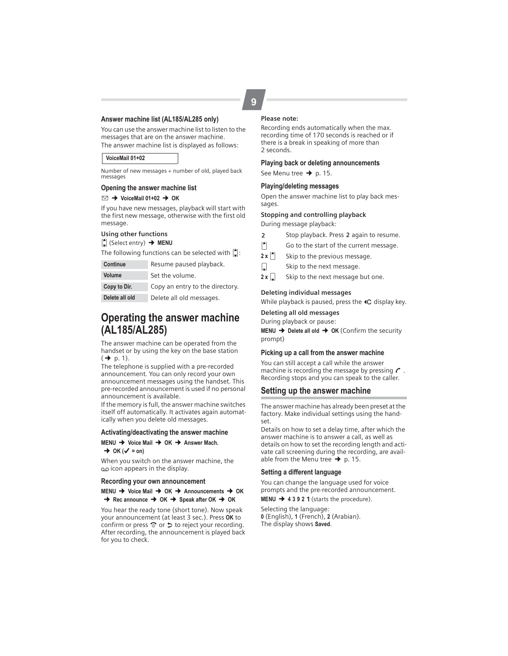#### **Answer machine list (AL185/AL285 only)**

You can use the answer machine list to listen to the messages that are on the answer machine. The answer machine list is displayed as follows:

#### **VoiceMail 01+02**

Number of new messages + number of old, played back messages

#### **Opening the answer machine list**

#### $\Box \rightarrow$  VoiceMail 01+02  $\rightarrow$  OK

If you have new messages, playback will start with the first new message, otherwise with the first old message.

#### **Using other functions**

**◯** (Select entry) → MENU

The following functions can be selected with  $\left[ \bullet \right]$ :

| <b>Continue</b> | Resume paused playback.         |
|-----------------|---------------------------------|
| <b>Volume</b>   | Set the volume.                 |
| Copy to Dir.    | Copy an entry to the directory. |
| Delete all old  | Delete all old messages.        |

## **Operating the answer machine (AL185/AL285)**

The answer machine can be operated from the handset or by using the key on the base station  $($   $\rightarrow$  p. 1).

The telephone is supplied with a pre-recorded announcement. You can only record your own announcement messages using the handset. This pre-recorded announcement is used if no personal announcement is available.

If the memory is full, the answer machine switches itself off automatically. It activates again automatically when you delete old messages.

#### **Activating/deactivating the answer machine**

#### **MENU → Voice Mail → OK → Answer Mach.**  $\rightarrow$  OK ( $\checkmark$  = on)

When you switch on the answer machine, the ± icon appears in the display.

#### **Recording your own announcement**

#### **MENU** ¢ **Voice Mail** ¢ **OK** ¢ **Announcements** ¢ **OK**  $\rightarrow$  Rec announce  $\rightarrow$  OK  $\rightarrow$  Speak after OK  $\rightarrow$  OK

You hear the ready tone (short tone). Now speak your announcement (at least 3 sec.). Press **OK** to confirm or press  $\widehat{\circ}$  or  $\triangleright$  to reject your recording. After recording, the announcement is played back for you to check.

#### **Please note:**

Recording ends automatically when the max. recording time of 170 seconds is reached or if there is a break in speaking of more than 2 seconds.

#### **Playing back or deleting announcements**

See Menu tree  $\rightarrow$  p. 15.

#### **Playing/deleting messages**

Open the answer machine list to play back messages.

#### **Stopping and controlling playback**

During message playback:

- 2 Stop playback. Press 2 again to resume.
- $t$  Go to the start of the current message.
- $2 \times \binom{4}{1}$  Skip to the previous message.
- $\Box$  Skip to the next message.
- **2 x**  $\left[\downarrow\right]$  Skip to the next message but one.

#### **Deleting individual messages**

While playback is paused, press the  $\triangleleft C$  display key.

#### **Deleting all old messages**

During playback or pause:

**MENU → Delete all old → OK (Confirm the security** prompt)

#### **Picking up a call from the answer machine**

You can still accept a call while the answer machine is recording the message by pressing  $\mathcal C$ . Recording stops and you can speak to the caller.

#### **Setting up the answer machine**

The answer machine has already been preset at the factory. Make individual settings using the handset.

Details on how to set a delay time, after which the answer machine is to answer a call, as well as details on how to set the recording length and activate call screening during the recording, are available from the Menu tree  $\rightarrow$  p. 15.

#### **Setting a different language**

You can change the language used for voice prompts and the pre-recorded announcement.

**MENU** ¢**<sup>4</sup> <sup>3</sup> <sup>9</sup> <sup>2</sup>**<sup>1</sup> (starts the procedure).

Selecting the language: **0** (English), **1** (French), **2** (Arabian). The display shows **Saved**.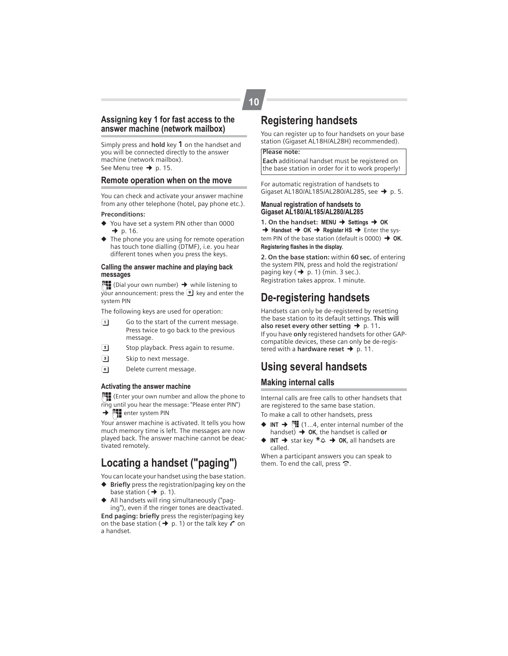#### **Assigning key 1 for fast access to the answer machine (network mailbox)**

Simply press and **hold** key 1 on the handset and you will be connected directly to the answer machine (network mailbox). See Menu tree  $\rightarrow$  p. 15.

#### **Remote operation when on the move**

You can check and activate your answer machine from any other telephone (hotel, pay phone etc.).

#### **Preconditions:**

- ◆ You have set a system PIN other than 0000  $\rightarrow$  p. 16.
- ◆ The phone you are using for remote operation has touch tone dialling (DTMF), i.e. you hear different tones when you press the keys.

#### **Calling the answer machine and playing back messages**

 $\mathbb{F}_\bullet$  (Dial your own number)  $\rightarrow$  while listening to  $\overline{y}$ our announcement: press the  $\overline{9}$  key and enter the system PIN

The following keys are used for operation:

- $\boxed{1}$  Go to the start of the current message. Press twice to go back to the previous message.
- **2** Stop playback. Press again to resume.
- 3 Skip to next message.
- <sup>o</sup> Delete current message.

#### **Activating the answer machine**

~(Enter your own number and allow the phone to ring until you hear the message: "Please enter PIN")  $\rightarrow$   $\mathbb{F}$  enter system PIN

Your answer machine is activated. It tells you how much memory time is left. The messages are now played back. The answer machine cannot be deactivated remotely.

## **Locating a handset ("paging")**

You can locate your handset using the base station.

- ◆ **Briefly** press the registration/paging key on the base station ( $\rightarrow$  p. 1).
- ◆ All handsets will ring simultaneously ("paging"), even if the ringer tones are deactivated.

**End paging: briefly** press the register/paging key on the base station ( $\rightarrow$  p. 1) or the talk key  $\sim$  on a handset.

## **Registering handsets**

You can register up to four handsets on your base station (Gigaset AL18H/AL28H) recommended).

#### **Please note:**

**Each** additional handset must be registered on the base station in order for it to work properly!

For automatic registration of handsets to Gigaset AL180/AL185/AL280/AL285, see  $\rightarrow$  p. 5.

#### **Manual registration of handsets to Gigaset AL180/AL185/AL280/AL285**

**1.** On the handset: MENU → Settings → OK  $→$  **Handset**  $→$  **OK**  $→$  **Register HS**  $→$  **Enter the sys**tem PIN of the base station (default is  $0000$ )  $\rightarrow$  OK. **Registering flashes in the display**.

**2. On the base station:** within **60 sec.** of entering the system PIN, press and hold the registration/ paging key  $(\rightarrow p. 1)$  (min. 3 sec.). Registration takes approx. 1 minute.

## **De-registering handsets**

Handsets can only be de-registered by resetting the base station to its default settings. **This will**  also reset every other setting  $\rightarrow$  p. 11. If you have **only** registered handsets for other GAPcompatible devices, these can only be de-registered with a **hardware reset →** p. 11.

## **Using several handsets**

#### **Making internal calls**

Internal calls are free calls to other handsets that are registered to the same base station. To make a call to other handsets, press

- $\triangleq$  **INT**  $\rightarrow$   $\mathbb{H}$  (1...4, enter internal number of the handset)  $\rightarrow$  **OK**, the handset is called **or**
- **INT** → star key  $*$   $\triangle$  → **OK**, all handsets are called.

When a participant answers you can speak to them. To end the call, press  $\hat{\infty}$ .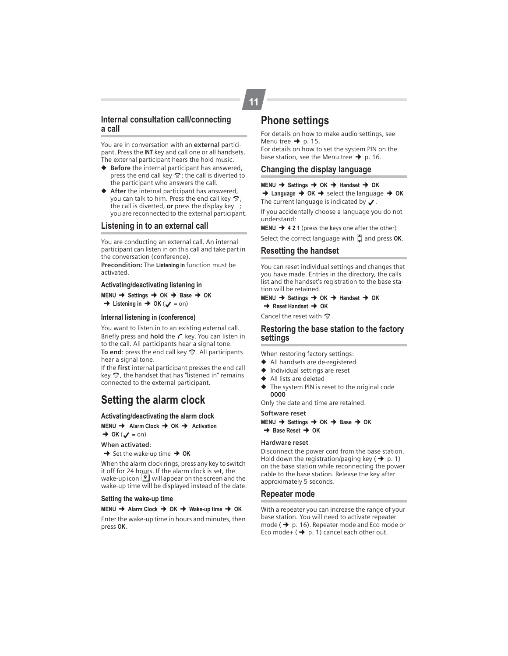#### **Internal consultation call/connecting a call**

You are in conversation with an **external** participant. Press the **INT** key and call one or all handsets. The external participant hears the hold music.

- ◆ **Before** the internal participant has answered, press the end call key  $\hat{\sigma}$ ; the call is diverted to the participant who answers the call.
- ◆ **After** the internal participant has answered, you can talk to him. Press the end call key  $\hat{\infty}$ ; the call is diverted, **or** press the display key ; you are reconnected to the external participant.

#### **Listening in to an external call**

You are conducting an external call. An internal participant can listen in on this call and take part in the conversation (conference). **Precondition:** The **Listening in** function must be

activated.

#### **Activating/deactivating listening in**

**MENU** ¢ **Settings** ¢ **OK** ¢ **Base** ¢ **OK**  $\rightarrow$  Listening in  $\rightarrow$  OK ( $\angle$  = on)

#### **Internal listening in (conference)**

You want to listen in to an existing external call. Briefly press and **hold** the  $\mathcal C$  key. You can listen in to the call. All participants hear a signal tone. To end: press the end call key  $\hat{\infty}$ . All participants hear a signal tone.

If the **first** internal participant presses the end call key  $\odot$ , the handset that has "listened in" remains connected to the external participant.

## **Setting the alarm clock**

#### **Activating/deactivating the alarm clock**

**MENU → Alarm Clock → OK → Activation**  $\rightarrow$  OK ( $\rightarrow$  = on)

#### **When activated**:

 $\rightarrow$  Set the wake-up time  $\rightarrow$  OK

When the alarm clock rings, press any key to switch it off for 24 hours. If the alarm clock is set, the wake-up icon  $\bigcirc$  will appear on the screen and the wake-up time will be displayed instead of the date.

#### **Setting the wake-up time**

#### **MENU** ¢ **Alarm Clock** ¢ **OK** ¢ **Wake-up time** ¢ **OK**

Enter the wake-up time in hours and minutes, then press **OK**.

## **Phone settings**

**11**

For details on how to make audio settings, see Menu tree  $\rightarrow$  p. 15.

For details on how to set the system PIN on the base station, see the Menu tree  $\rightarrow$  p. 16.

#### **Changing the display language**

**MENU → Settings → OK → Handset → OK** 

 $→$  **Language**  $→$  **OK**  $→$  select the language  $→$  OK The current language is indicated by  $\bigtriangledown$ .

If you accidentally choose a language you do not understand:

**MENU** ¢**<sup>4</sup> <sup>2</sup> <sup>1</sup>**(press the keys one after the other) Select the correct language with  $\Box$  and press OK.

#### **Resetting the handset**

You can reset individual settings and changes that you have made. Entries in the directory, the calls list and the handset's registration to the base station will be retained.

#### **MENU** ¢ **Settings** ¢ **OK** ¢ **Handset** ¢ **OK**  $→$  Reset Handset  $→$  OK

Cancel the reset with  $\hat{\infty}$ .

#### **Restoring the base station to the factory settings**

When restoring factory settings:

- ◆ All handsets are de-registered
- ◆ Individual settings are reset
- All lists are deleted
- The system PIN is reset to the original code **0000**

Only the date and time are retained.

**Software reset MENU** ¢ **Settings** ¢ **OK** ¢ **Base** ¢ **OK**  $→$  **Base Reset**  $→$  **OK** 

#### **Hardware reset**

Disconnect the power cord from the base station. Hold down the registration/paging key  $(\rightarrow p. 1)$ on the base station while reconnecting the power cable to the base station. Release the key after approximately 5 seconds.

#### **Repeater mode**

With a repeater you can increase the range of your base station. You will need to activate repeater mode ( $\rightarrow$  p. 16). Repeater mode and Eco mode or Eco mode+  $(\rightarrow p. 1)$  cancel each other out.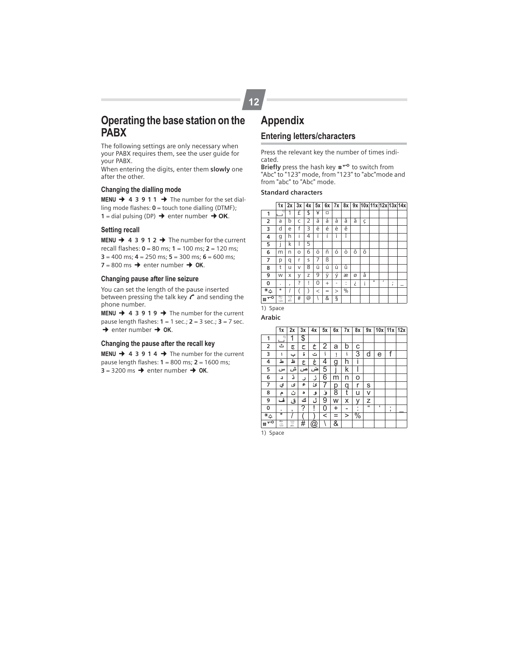## **Operating the base station on the PABX**

The following settings are only necessary when your PABX requires them, see the user guide for your PABX.

When entering the digits, enter them **slowly** one after the other.

#### **Changing the dialling mode**

**MENU**  $\rightarrow$  **4 3 9 1 1**  $\rightarrow$  The number for the set dialling mode flashes: **0** = touch tone dialling (DTMF); **1** = dial pulsing (DP)  $\rightarrow$  enter number  $\rightarrow$  **OK**.

#### **Setting recall**

**MENU**  $\rightarrow$  **4 3 9 1 2**  $\rightarrow$  **The number for the current** recall flashes: **0** = 80 ms; **1** = 100 ms; **2** = 120 ms;  $3 = 400$  ms;  $4 = 250$  ms;  $5 = 300$  ms;  $6 = 600$  ms;  $7 = 800$  ms  $\rightarrow$  enter number  $\rightarrow$  **OK**.

#### **Changing pause after line seizure**

You can set the length of the pause inserted between pressing the talk key  $\mathcal C$  and sending the phone number.

**MENU**  $\rightarrow$  **4 3 9 1 9**  $\rightarrow$  **The number for the current** pause length flashes: **1** = 1 sec.; **2** = 3 sec.; **3** = 7 sec.  $\rightarrow$  enter number  $\rightarrow$  **OK**.

#### **Changing the pause after the recall key**

**MENU**  $\rightarrow$  **4 3 9 1 4**  $\rightarrow$  The number for the current pause length flashes: **1** = 800 ms; **2** = 1600 ms;  $3 = 3200 \text{ ms} \rightarrow \text{enter number} \rightarrow \text{OK}.$ 

# **Appendix**

**12**

## **Entering letters/characters**

Press the relevant key the number of times indicated.

Briefly press the hash key  $\texttt{#}^{\texttt{-o}}$  to switch from "Abc" to "123" mode, from "123" to "abc"mode and from "abc" to "Abc" mode.

#### **Standard characters**

|                  |                   | 3x | 4x |       |           |          |        |   |   |                |           |                   |                                                   |
|------------------|-------------------|----|----|-------|-----------|----------|--------|---|---|----------------|-----------|-------------------|---------------------------------------------------|
|                  | 1                 | £  | \$ | ¥     | O         |          |        |   |   |                |           |                   |                                                   |
| a                | b                 | C  | 2  | ä     | á         | à        | â      | ã | Ç |                |           |                   |                                                   |
| d                | e                 | f  | 3  | ë     | é         | è        | ê      |   |   |                |           |                   |                                                   |
| g                | h                 | i  | 4  | ï     | í         | ì        | î      |   |   |                |           |                   |                                                   |
| I                | k                 |    | 5  |       |           |          |        |   |   |                |           |                   |                                                   |
| m                | n                 | O  | 6  | ö     | ñ         | ó        | ò      | ô | õ |                |           |                   |                                                   |
| р                | q                 | r  | S  | 7     | ß         |          |        |   |   |                |           |                   |                                                   |
| t                | u                 | V  | 8  | ü     | ú         | ù        | û      |   |   |                |           |                   |                                                   |
| W                | X                 | У  | Z  | 9     | ÿ         | ý        | æ      | ø | å |                |           |                   |                                                   |
| ٠                | $\mathbf{r}$      | ?  | Ţ  | 0     | $\ddot{}$ | ۰        | ٠<br>٠ | ż | i | $\blacksquare$ | $\lambda$ | ٠<br>$\mathbf{r}$ |                                                   |
| $\star$          |                   |    |    | $\,<$ | =         | $\rm{>}$ | %      |   |   |                |           |                   |                                                   |
| Abc<br>-5<br>123 | $\frac{123}{abc}$ | #  | @  |       | &         | ş        |        |   |   |                |           |                   |                                                   |
|                  |                   | 1x | 2x |       |           | 5x       |        |   |   |                |           |                   | $6x$   7x   8x   9x   10x   11x   12x   13x   14x |

1) Space

**Arabic**

|                            | 1x                   | 2x                | 3x | 4x                        | 5x    | 6x  | 7x | 8х            | 9x       | 10x 11x 12x |        |  |
|----------------------------|----------------------|-------------------|----|---------------------------|-------|-----|----|---------------|----------|-------------|--------|--|
| 1                          | 1)                   | 1                 | \$ |                           |       |     |    |               |          |             |        |  |
| 2                          | ٹ                    | چ                 | ح  | ċ                         | 2     | a   | b  | C             |          |             |        |  |
| 3                          | ١                    | پ                 | 5  | ت                         |       |     | Ī  | 3             | d        | e           | f      |  |
| 4                          | ط                    | 上                 | ع  | غ                         | 4     | g   | h  | i             |          |             |        |  |
| 5                          | س                    | ش                 | ص  | ض                         | 5     |     | k  |               |          |             |        |  |
| 6                          | د                    | د                 | ر  | ذ                         | 6     | m   | n  | o             |          |             |        |  |
| 7                          | ي                    | ى                 | ء  | ؽ                         | 7     | р   | q  | r             | s        |             |        |  |
| 8                          | م                    | ت                 | ٥  | ٯ                         | ٯٔ    | 8   | t  | u             | ٧        |             |        |  |
| 9                          | ف                    | ق                 | ٹ  | ل                         | 9     | W   | X  | ٧             | Z        |             |        |  |
| 0                          |                      | ,                 | ?  | ļ                         | 0     | +   | -  | ٠             | $\alpha$ | f.          | ٠<br>, |  |
| $\overline{\ast}_{\Delta}$ | $\ast$               |                   |    |                           | $\,<$ | $=$ | >  | $\frac{1}{2}$ |          |             |        |  |
| ᆑ<br>#                     | Abc<br>$\frac{1}{2}$ | $\frac{123}{abc}$ | #  | $^\text{\textregistered}$ |       | &   |    |               |          |             |        |  |

1) Space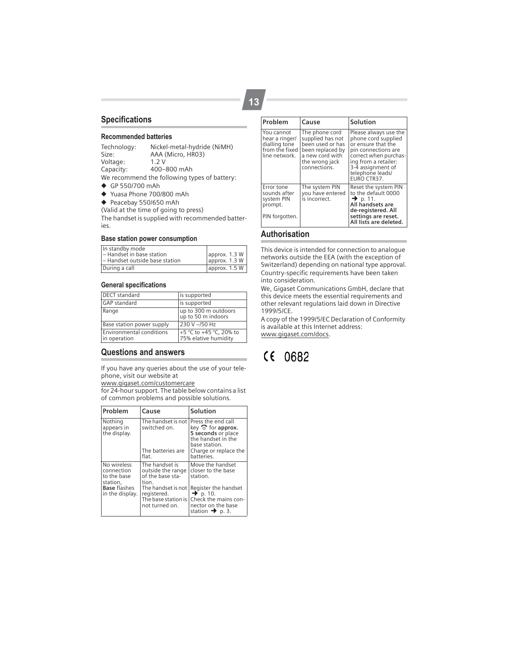#### **Specifications**

#### **Recommended batteries**

Technology: Nickel-metal-hydride (NiMH)<br>Size: AAA (Micro, HRO3) AAA (Micro, HR03)<br>1.2 V Voltage: Capacity: 400–800 mAh We recommend the following types of battery: ◆ GP 550/700 mAh

- ◆ Yuasa Phone 700/800 mAh
- ◆ Peacebay 550/650 mAh

(Valid at the time of going to press)

The handset is supplied with recommended batteries.

#### **Base station power consumption**

| In standby mode<br>- Handset in base station<br>- Handset outside base station | approx. 1.3 W<br>approx. 1.3 W |
|--------------------------------------------------------------------------------|--------------------------------|
| During a call                                                                  | approx. 1.5 W                  |

#### **General specifications**

| <b>DECT</b> standard                            | is supported                                    |
|-------------------------------------------------|-------------------------------------------------|
| <b>GAP</b> standard                             | is supported                                    |
| Range                                           | up to 300 m outdoors<br>up to 50 m indoors      |
| Base station power supply                       | 230 V ~/50 Hz                                   |
| <b>Environmental conditions</b><br>in operation | +5 °C to +45 °C, 20% to<br>75% elative humidity |

#### **Questions and answers**

If you have any queries about the use of your telephone, visit our website at

www.gigaset.com/customercare

for 24-hour support. The table below contains a list of common problems and possible solutions.

| Problem                                                                                        | Cause                                                                                                                                          | Solution                                                                                                                                         |
|------------------------------------------------------------------------------------------------|------------------------------------------------------------------------------------------------------------------------------------------------|--------------------------------------------------------------------------------------------------------------------------------------------------|
| Nothing<br>appears in<br>the display.                                                          | The handset is not Press the end call<br>switched on.<br>The batteries are<br>flat.                                                            | key $\circledcirc$ for approx.<br>5 seconds or place<br>the handset in the<br>base station.<br>Charge or replace the<br>batteries.               |
| No wireless<br>connection<br>to the base<br>station.<br><b>Base flashes</b><br>in the display. | The handset is<br>outside the range<br>of the base sta-<br>tion.<br>The handset is not<br>registered.<br>The base station is<br>not turned on. | Move the handset<br>closer to the base<br>station.<br>Register the handset<br>$\rightarrow$ p. 10.<br>Check the mains con-<br>nector on the base |
|                                                                                                |                                                                                                                                                | station $\rightarrow$ p. 3.                                                                                                                      |

| Problem                                                                          | Cause                                                                                                                           | Solution                                                                                                                                                                                           |
|----------------------------------------------------------------------------------|---------------------------------------------------------------------------------------------------------------------------------|----------------------------------------------------------------------------------------------------------------------------------------------------------------------------------------------------|
| You cannot<br>hear a ringer/<br>dialling tone<br>from the fixed<br>line network. | The phone cord<br>supplied has not<br>been used or has<br>been replaced by<br>a new cord with<br>the wrong jack<br>connections. | Please always use the<br>phone cord supplied<br>or ensure that the<br>pin connections are<br>correct when purchas-<br>ing from a retailer:<br>3-4 assignment of<br>telephone leads/<br>EURO CTR37. |
| Error tone<br>sounds after<br>system PIN<br>prompt.<br>PIN forgotten.            | The system PIN<br>you have entered<br>is incorrect.                                                                             | Reset the system PIN<br>to the default 0000<br>$\rightarrow$ p. 11.<br>All handsets are<br>de-registered. All<br>settings are reset.<br>All lists are deleted.                                     |

#### **Authorisation**

This device is intended for connection to analogue networks outside the EEA (with the exception of Switzerland) depending on national type approval. Country-specific requirements have been taken into consideration.

We, Gigaset Communications GmbH, declare that this device meets the essential requirements and other relevant regulations laid down in Directive 1999/5/CE.

A copy of the 1999/5/EC Declaration of Conformity is available at this Internet address: www.gigaset.com/docs.

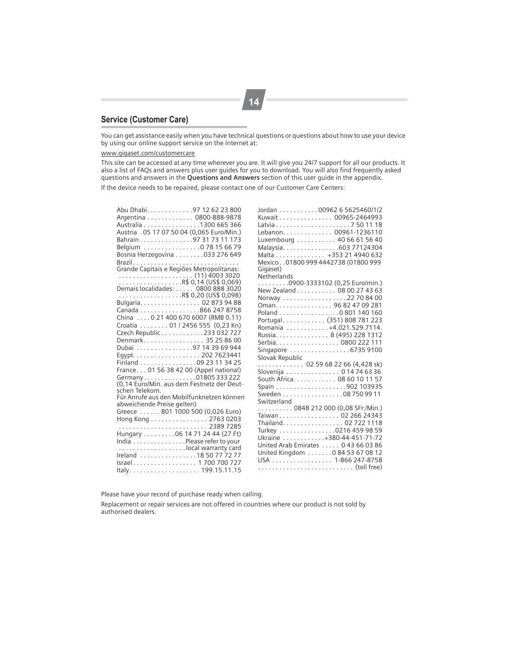## **Service (Customer Care)**

You can get assistance easily when you have technical questions or questions about how to use your device by using our online support service on the Internet at:

#### www.gigaset.com/customercare

This site can be accessed at any time wherever you are. It will give you 24/7 support for all our products. It also a list of FAQs and answers plus user guides for you to download. You will also find frequently asked questions and answers in the **Questions and Answers** section of this user guide in the appendix.

If the device needs to be repaired, please contact one of our Customer Care Centers:

| Abu Dhabi. 97 12 62 23 800                                           |
|----------------------------------------------------------------------|
| Argentina 0800-888-9878                                              |
| Australia 1300 665 366<br>Austria . 05 17 07 50 04 (0,065 Euro/Min.) |
|                                                                      |
| Bahrain 97 31 73 11 173                                              |
| Belgium 0 78 15 66 79                                                |
| Bosnia Herzegovina 033 276 649                                       |
|                                                                      |
| Brazil<br>Grande Capitais e Regiões Metropolitanas:                  |
|                                                                      |
|                                                                      |
|                                                                      |
|                                                                      |
|                                                                      |
|                                                                      |
|                                                                      |
| Croatia  01 / 2456 555 (0,23 Kn)                                     |
| Czech Republic 233 032 727                                           |
| Denmark 35 25 86 00                                                  |
| Dubai 97 14 39 69 944                                                |
|                                                                      |
| Egypt. 202 7623441                                                   |
| Finland 09 23 11 34 25                                               |
| France 01 56 38 42 00 (Appel national)                               |
| Germany 01805 333 222<br>(0,14 Euro/Min. aus dem Festnetz der Deut-  |
| schen Telekom.                                                       |
| Für Anrufe aus den Mobilfunknetzen können                            |
| abweichende Preise gelten)                                           |
| Greece 801 1000 500 (0,026 Euro)                                     |
|                                                                      |
| Hong Kong 2763 0203                                                  |
|                                                                      |
| Hungary 06 14 71 24 44 (27 Ft)                                       |
| India Please refer to your                                           |
| local warranty card                                                  |
| Ireland 18 50 77 72 77                                               |
| Israel 1700 700 727                                                  |
|                                                                      |

| Jordan 00962 6 5625460/1/2<br>Kuwait 00965-2464993<br>Latvia7501118<br>Lebanon. 00961-1236110<br>Luxembourg 40 66 61 56 40<br>Malaysia. 603 77124304<br>Malta +353 21 4940 632<br>Mexico01800 999 4442738 (01800 999<br>Gigaset)<br>Netherlands                                           |
|-------------------------------------------------------------------------------------------------------------------------------------------------------------------------------------------------------------------------------------------------------------------------------------------|
| 0900-3333102 (0,25 Euro/min.)<br>New Zealand 08 00 27 43 63<br>Norway 22 70 84 00<br>Oman. 96 82 47 09 281<br>Poland 0 801 140 160<br>Portugal (351) 808 781 223<br>Romania 4.021.529.7114.<br>Russia. 8 (495) 228 1312<br>Serbia. 0800 222 111<br>Singapore 6735 9100<br>Slovak Republic |
| . 02 59 68 22 66 (4,428 sk)<br>Slovenija 0 14 74 63 36<br>South Africa. 08 60 10 11 57<br>Sweden 08 750 99 11                                                                                                                                                                             |
| Switzerland<br>0848 212 000 (0,08 SFr./Min.)<br>Taiwan 02 266 24343<br>Thailand. 02 722 1118<br>Turkey 0216 459 98 59<br>Ukraine +380-44-451-71-72<br>United Arab Emirates  0 43 66 03 86<br>United Kingdom 0 84 53 67 08 12<br>USA 1-866 247-8758                                        |

Please have your record of purchase ready when calling.

Replacement or repair services are not offered in countries where our product is not sold by authorised dealers.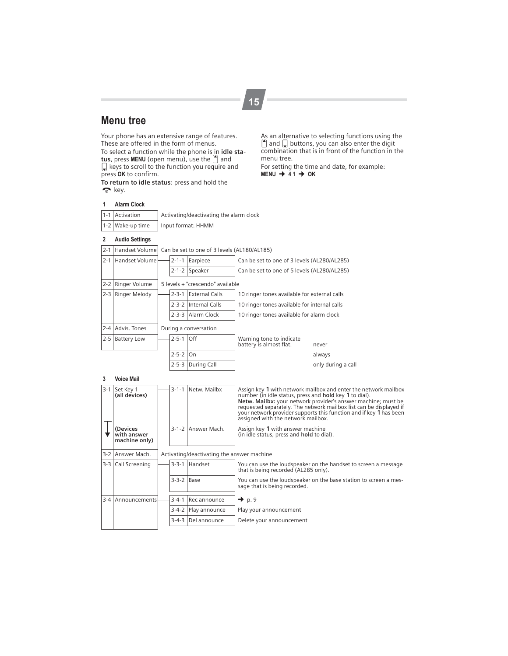## **Menu tree**

Your phone has an extensive range of features. These are offered in the form of menus. To select a function while the phone is in **idle sta-**<br>**tus**, press **MENU** (open menu), use the [<sup>4</sup>] and  $\mathbb Q$  keys to scroll to the function you require and press **OK** to confirm.

**To return to idle status**: press and hold the  $\bullet$  key.

As an alternative to selecting functions using the  $\left\lceil \cdot \right\rceil$  and  $\left\lceil \cdot \right\rceil$  buttons, you can also enter the digit combination that is in front of the function in the menu tree.

For setting the time and date, for example:<br>**MENU → 41 → OK** 

#### **1 Alarm Clock**

| 1-1 Activation   | Activating/deactivating the alarm clock |
|------------------|-----------------------------------------|
| 1-2 Wake-up time | Input format: HHMM                      |

## **2 Audio Settings**

|  |  | [2-1] Handset Volume] Can be set to one of 3 levels (AL180/AL185) |  |
|--|--|-------------------------------------------------------------------|--|
|--|--|-------------------------------------------------------------------|--|

|         | 2-1 Handset Volume  | $2 - 1 - 1$ | Earpiece                         | Can be set to one of 3 levels (AL280/AL285)         |                    |
|---------|---------------------|-------------|----------------------------------|-----------------------------------------------------|--------------------|
|         |                     |             | 2-1-2 Speaker                    | Can be set to one of 5 levels (AL280/AL285)         |                    |
|         | 2-2 Ringer Volume   |             | 5 levels + "crescendo" available |                                                     |                    |
|         | 2-3   Ringer Melody | $2 - 3 - 1$ | <b>External Calls</b>            | 10 ringer tones available for external calls        |                    |
|         |                     |             | 2-3-2 Internal Calls             | 10 ringer tones available for internal calls        |                    |
|         |                     |             | 2-3-3 Alarm Clock                | 10 ringer tones available for alarm clock           |                    |
|         | 2-4 Advis, Tones    |             | During a conversation            |                                                     |                    |
| $2 - 5$ | <b>Battery Low</b>  | $2 - 5 - 1$ | Off                              | Warning tone to indicate<br>battery is almost flat: | never              |
|         |                     | $2 - 5 - 2$ | On                               |                                                     | always             |
|         |                     | $2 - 5 - 3$ | During Call                      |                                                     | only during a call |

#### **3 Voice Mail**

| $3-1$   | Set Key 1<br>(all devices)               | $3 - 1 - 1$                                | Netw. Mailbx  | Assign key 1 with network mailbox and enter the network mailbox<br>number (in idle status, press and <b>hold</b> key 1 to dial).<br>Netw. Mailbx: your network provider's answer machine; must be<br>requested separately. The network mailbox list can be displayed if<br>your network provider supports this function and if key 1 has been<br>assigned with the network mailbox. |  |  |  |
|---------|------------------------------------------|--------------------------------------------|---------------|-------------------------------------------------------------------------------------------------------------------------------------------------------------------------------------------------------------------------------------------------------------------------------------------------------------------------------------------------------------------------------------|--|--|--|
|         | (Devices<br>with answer<br>machine only) | $3 - 1 - 2$                                | Answer Mach.  | Assign key 1 with answer machine<br>(in idle status, press and <b>hold</b> to dial).                                                                                                                                                                                                                                                                                                |  |  |  |
|         | 3-2 Answer Mach.                         | Activating/deactivating the answer machine |               |                                                                                                                                                                                                                                                                                                                                                                                     |  |  |  |
|         | 3-3 Call Screening                       | $3 - 3 - 1$                                | Handset       | You can use the loudspeaker on the handset to screen a message<br>that is being recorded (AL285 only).                                                                                                                                                                                                                                                                              |  |  |  |
|         |                                          | $3-3-2$ Base                               |               | You can use the loudspeaker on the base station to screen a mes-<br>sage that is being recorded.                                                                                                                                                                                                                                                                                    |  |  |  |
| $3 - 4$ | Announcements                            | $3 - 4 - 1$                                | Rec announce  | $\rightarrow$ p. 9                                                                                                                                                                                                                                                                                                                                                                  |  |  |  |
|         |                                          | $3 - 4 - 2$                                | Play announce | Play your announcement                                                                                                                                                                                                                                                                                                                                                              |  |  |  |
|         |                                          | $3 - 4 - 3$                                | Del announce  | Delete your announcement                                                                                                                                                                                                                                                                                                                                                            |  |  |  |